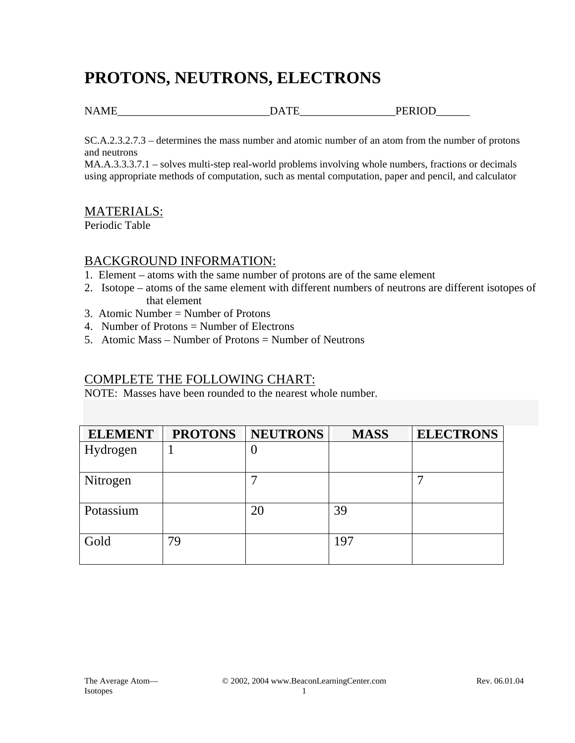# **PROTONS, NEUTRONS, ELECTRONS**

NAME DATE PERIOD

SC.A.2.3.2.7.3 – determines the mass number and atomic number of an atom from the number of protons and neutrons

MA.A.3.3.3.7.1 – solves multi-step real-world problems involving whole numbers, fractions or decimals using appropriate methods of computation, such as mental computation, paper and pencil, and calculator

### MATERIALS:

Periodic Table

#### BACKGROUND INFORMATION:

- 1. Element atoms with the same number of protons are of the same element
- 2. Isotope atoms of the same element with different numbers of neutrons are different isotopes of that element
- 3. Atomic Number = Number of Protons
- 4. Number of Protons = Number of Electrons
- 5. Atomic Mass Number of Protons = Number of Neutrons

### COMPLETE THE FOLLOWING CHART:

NOTE: Masses have been rounded to the nearest whole number.

| <b>ELEMENT</b> | <b>PROTONS</b> | <b>NEUTRONS</b> | <b>MASS</b> | <b>ELECTRONS</b> |
|----------------|----------------|-----------------|-------------|------------------|
| Hydrogen       |                | U               |             |                  |
| Nitrogen       |                | ⇁               |             |                  |
| Potassium      |                | 20              | 39          |                  |
| Gold           | 79             |                 | 197         |                  |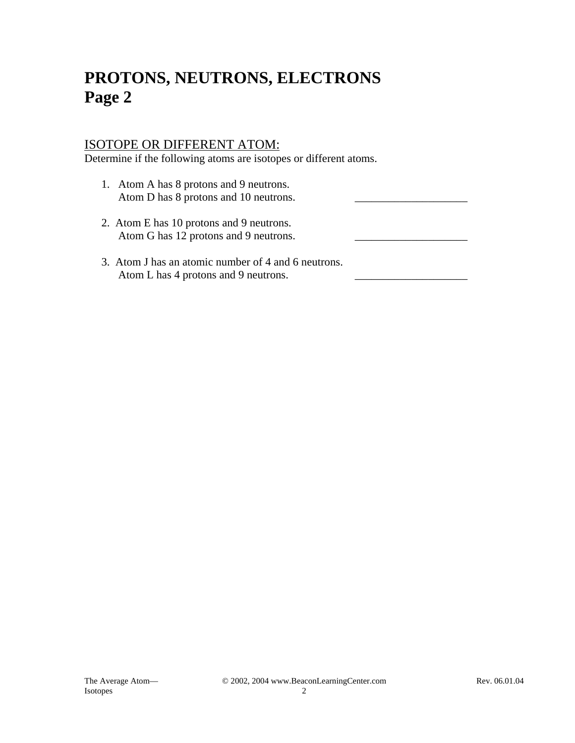# **PROTONS, NEUTRONS, ELECTRONS Page 2**

### ISOTOPE OR DIFFERENT ATOM:

Determine if the following atoms are isotopes or different atoms.

- 1. Atom A has 8 protons and 9 neutrons. Atom D has 8 protons and 10 neutrons.
- 2. Atom E has 10 protons and 9 neutrons. Atom G has 12 protons and 9 neutrons.
- 3. Atom J has an atomic number of 4 and 6 neutrons. Atom L has 4 protons and 9 neutrons.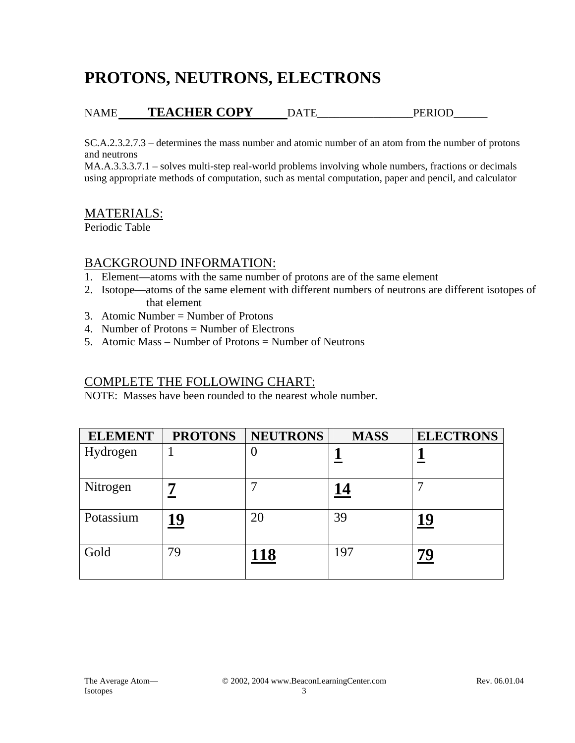# **PROTONS, NEUTRONS, ELECTRONS**

## NAME **TEACHER COPY** DATE\_\_\_\_\_\_\_\_\_\_\_\_\_\_\_\_\_PERIOD\_\_\_\_\_\_

SC.A.2.3.2.7.3 – determines the mass number and atomic number of an atom from the number of protons and neutrons

MA.A.3.3.3.7.1 – solves multi-step real-world problems involving whole numbers, fractions or decimals using appropriate methods of computation, such as mental computation, paper and pencil, and calculator

## MATERIALS:

Periodic Table

### BACKGROUND INFORMATION:

- 1. Element—atoms with the same number of protons are of the same element
- 2. Isotope—atoms of the same element with different numbers of neutrons are different isotopes of that element
- 3. Atomic Number = Number of Protons
- 4. Number of Protons = Number of Electrons
- 5. Atomic Mass Number of Protons = Number of Neutrons

### COMPLETE THE FOLLOWING CHART:

NOTE: Masses have been rounded to the nearest whole number.

| <b>ELEMENT</b> | <b>PROTONS</b> | <b>NEUTRONS</b> | <b>MASS</b> | <b>ELECTRONS</b> |
|----------------|----------------|-----------------|-------------|------------------|
| Hydrogen       |                | U               |             |                  |
| Nitrogen       |                |                 | <u> 14</u>  |                  |
| Potassium      | 19             | 20              | 39          | 19               |
| Gold           | 79             | 118             | 197         | 79               |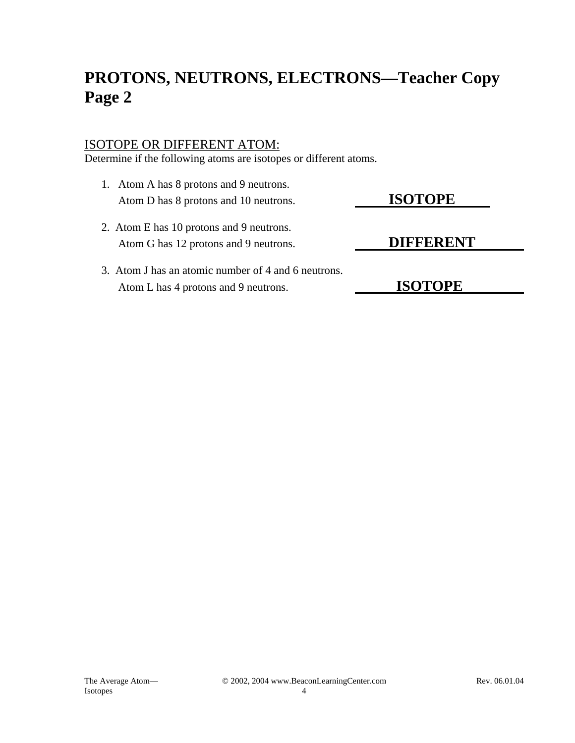# **PROTONS, NEUTRONS, ELECTRONS—Teacher Copy Page 2**

### ISOTOPE OR DIFFERENT ATOM:

Determine if the following atoms are isotopes or different atoms.

- 1. Atom A has 8 protons and 9 neutrons. Atom D has 8 protons and 10 neutrons. **ISOTOPE**
- 2. Atom E has 10 protons and 9 neutrons. Atom G has 12 protons and 9 neutrons. **DIFFERENT**
- 3. Atom J has an atomic number of 4 and 6 neutrons. Atom L has 4 protons and 9 neutrons. **ISOTOPE**

Isotopes 4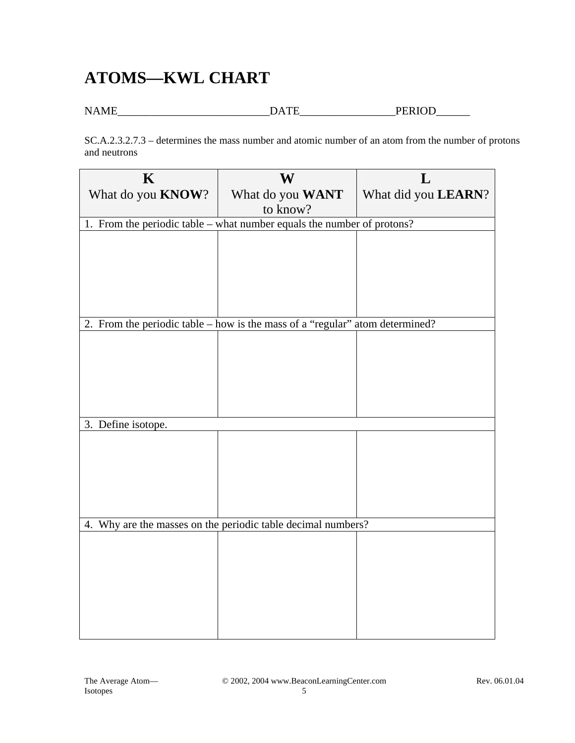# **ATOMS—KWL CHART**

NAME\_\_\_\_\_\_\_\_\_\_\_\_\_\_\_\_\_\_\_\_\_\_\_\_\_\_\_DATE\_\_\_\_\_\_\_\_\_\_\_\_\_\_\_\_\_PERIOD\_\_\_\_\_\_

SC.A.2.3.2.7.3 – determines the mass number and atomic number of an atom from the number of protons and neutrons

| $\mathbf K$                                                            | W                                                                              | L                   |  |
|------------------------------------------------------------------------|--------------------------------------------------------------------------------|---------------------|--|
| What do you <b>KNOW</b> ?                                              | What do you WANT                                                               | What did you LEARN? |  |
|                                                                        | to know?                                                                       |                     |  |
| 1. From the periodic table – what number equals the number of protons? |                                                                                |                     |  |
|                                                                        |                                                                                |                     |  |
|                                                                        |                                                                                |                     |  |
|                                                                        |                                                                                |                     |  |
|                                                                        |                                                                                |                     |  |
|                                                                        |                                                                                |                     |  |
|                                                                        | 2. From the periodic table $-$ how is the mass of a "regular" atom determined? |                     |  |
|                                                                        |                                                                                |                     |  |
|                                                                        |                                                                                |                     |  |
|                                                                        |                                                                                |                     |  |
|                                                                        |                                                                                |                     |  |
|                                                                        |                                                                                |                     |  |
| 3. Define isotope.                                                     |                                                                                |                     |  |
|                                                                        |                                                                                |                     |  |
|                                                                        |                                                                                |                     |  |
|                                                                        |                                                                                |                     |  |
|                                                                        |                                                                                |                     |  |
|                                                                        |                                                                                |                     |  |
| 4. Why are the masses on the periodic table decimal numbers?           |                                                                                |                     |  |
|                                                                        |                                                                                |                     |  |
|                                                                        |                                                                                |                     |  |
|                                                                        |                                                                                |                     |  |
|                                                                        |                                                                                |                     |  |
|                                                                        |                                                                                |                     |  |
|                                                                        |                                                                                |                     |  |
|                                                                        |                                                                                |                     |  |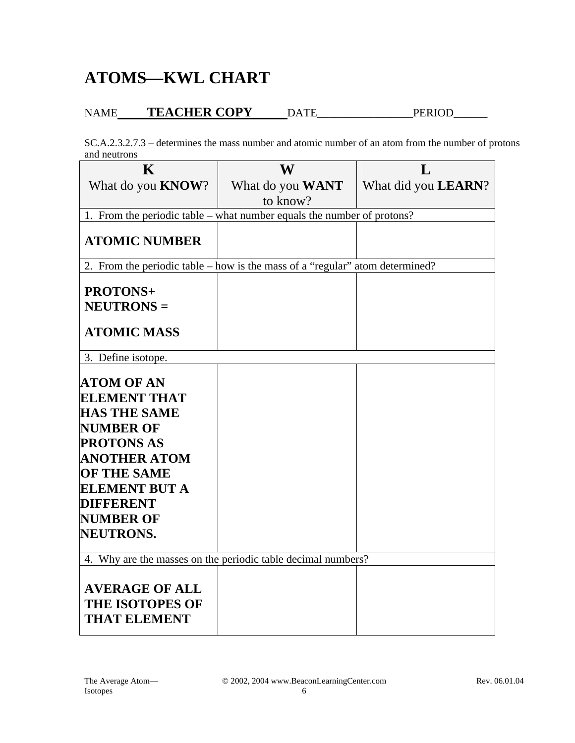## **ATOMS—KWL CHART**

## NAME **TEACHER COPY** DATE\_\_\_\_\_\_\_\_\_\_\_\_\_\_\_\_\_PERIOD\_\_\_\_\_\_

SC.A.2.3.2.7.3 – determines the mass number and atomic number of an atom from the number of protons and neutrons

| $\bf K$                                                                | W                                                                            | L                           |  |
|------------------------------------------------------------------------|------------------------------------------------------------------------------|-----------------------------|--|
| What do you <b>KNOW</b> ?                                              | What do you WANT                                                             | What did you <b>LEARN</b> ? |  |
|                                                                        | to know?                                                                     |                             |  |
| 1. From the periodic table – what number equals the number of protons? |                                                                              |                             |  |
| <b>ATOMIC NUMBER</b>                                                   |                                                                              |                             |  |
|                                                                        | 2. From the periodic table – how is the mass of a "regular" atom determined? |                             |  |
|                                                                        |                                                                              |                             |  |
| <b>PROTONS+</b>                                                        |                                                                              |                             |  |
| <b>NEUTRONS =</b>                                                      |                                                                              |                             |  |
| <b>ATOMIC MASS</b>                                                     |                                                                              |                             |  |
| 3. Define isotope.                                                     |                                                                              |                             |  |
| <b>ATOM OF AN</b><br><b>ELEMENT THAT</b>                               |                                                                              |                             |  |
| <b>HAS THE SAME</b>                                                    |                                                                              |                             |  |
| <b>NUMBER OF</b>                                                       |                                                                              |                             |  |
| <b>PROTONS AS</b>                                                      |                                                                              |                             |  |
| <b>ANOTHER ATOM</b>                                                    |                                                                              |                             |  |
| <b>OF THE SAME</b>                                                     |                                                                              |                             |  |
| <b>ELEMENT BUT A</b>                                                   |                                                                              |                             |  |
| <b>DIFFERENT</b><br><b>NUMBER OF</b>                                   |                                                                              |                             |  |
| NEUTRONS.                                                              |                                                                              |                             |  |
|                                                                        |                                                                              |                             |  |
| 4. Why are the masses on the periodic table decimal numbers?           |                                                                              |                             |  |
| <b>AVERAGE OF ALL</b><br><b>THE ISOTOPES OF</b><br><b>THAT ELEMENT</b> |                                                                              |                             |  |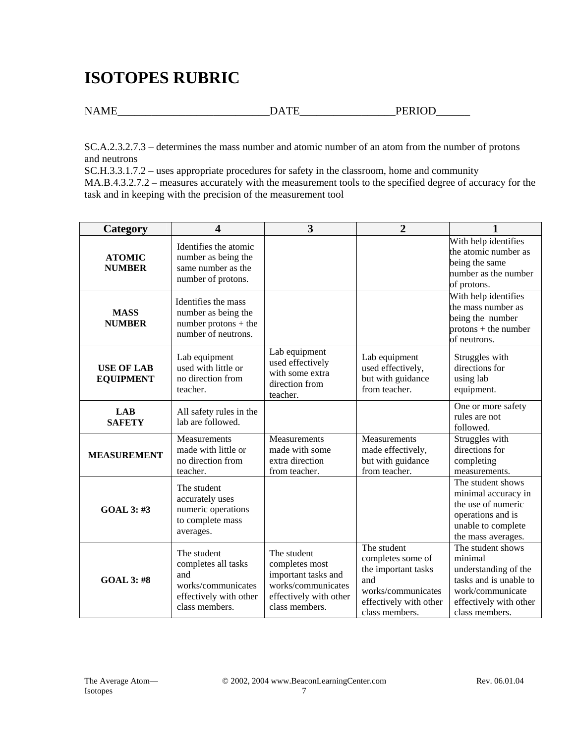# **ISOTOPES RUBRIC**

NAME\_\_\_\_\_\_\_\_\_\_\_\_\_\_\_\_\_\_\_\_\_\_\_\_\_\_\_DATE\_\_\_\_\_\_\_\_\_\_\_\_\_\_\_\_\_PERIOD\_\_\_\_\_\_

SC.A.2.3.2.7.3 – determines the mass number and atomic number of an atom from the number of protons and neutrons

SC.H.3.3.1.7.2 – uses appropriate procedures for safety in the classroom, home and community MA.B.4.3.2.7.2 – measures accurately with the measurement tools to the specified degree of accuracy for the task and in keeping with the precision of the measurement tool

| Category                              | 4                                                                                                           | 3                                                                                                                      | $\overline{2}$                                                                                                                   |                                                                                                                                                |
|---------------------------------------|-------------------------------------------------------------------------------------------------------------|------------------------------------------------------------------------------------------------------------------------|----------------------------------------------------------------------------------------------------------------------------------|------------------------------------------------------------------------------------------------------------------------------------------------|
| <b>ATOMIC</b><br><b>NUMBER</b>        | Identifies the atomic<br>number as being the<br>same number as the<br>number of protons.                    |                                                                                                                        |                                                                                                                                  | With help identifies<br>the atomic number as<br>being the same<br>number as the number<br>of protons.                                          |
| <b>MASS</b><br><b>NUMBER</b>          | Identifies the mass<br>number as being the<br>number protons $+$ the<br>number of neutrons.                 |                                                                                                                        |                                                                                                                                  | With help identifies<br>the mass number as<br>being the number<br>$protons + the number$<br>of neutrons.                                       |
| <b>USE OF LAB</b><br><b>EQUIPMENT</b> | Lab equipment<br>used with little or<br>no direction from<br>teacher.                                       | Lab equipment<br>used effectively<br>with some extra<br>direction from<br>teacher.                                     | Lab equipment<br>used effectively,<br>but with guidance<br>from teacher.                                                         | Struggles with<br>directions for<br>using lab<br>equipment.                                                                                    |
| <b>LAB</b><br><b>SAFETY</b>           | All safety rules in the<br>lab are followed.                                                                |                                                                                                                        |                                                                                                                                  | One or more safety<br>rules are not<br>followed.                                                                                               |
| <b>MEASUREMENT</b>                    | Measurements<br>made with little or<br>no direction from<br>teacher.                                        | Measurements<br>made with some<br>extra direction<br>from teacher.                                                     | Measurements<br>made effectively,<br>but with guidance<br>from teacher.                                                          | Struggles with<br>directions for<br>completing<br>measurements.                                                                                |
| <b>GOAL 3: #3</b>                     | The student<br>accurately uses<br>numeric operations<br>to complete mass<br>averages.                       |                                                                                                                        |                                                                                                                                  | The student shows<br>minimal accuracy in<br>the use of numeric<br>operations and is<br>unable to complete<br>the mass averages.                |
| <b>GOAL 3: #8</b>                     | The student<br>completes all tasks<br>and<br>works/communicates<br>effectively with other<br>class members. | The student<br>completes most<br>important tasks and<br>works/communicates<br>effectively with other<br>class members. | The student<br>completes some of<br>the important tasks<br>and<br>works/communicates<br>effectively with other<br>class members. | The student shows<br>minimal<br>understanding of the<br>tasks and is unable to<br>work/communicate<br>effectively with other<br>class members. |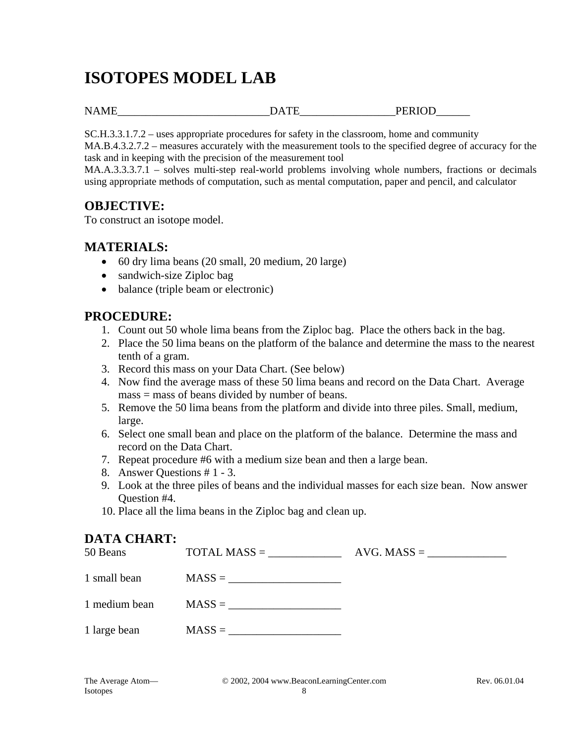# **ISOTOPES MODEL LAB**

NAME\_\_\_\_\_\_\_\_\_\_\_\_\_\_\_\_\_\_\_\_\_\_\_\_\_\_\_DATE\_\_\_\_\_\_\_\_\_\_\_\_\_\_\_\_\_PERIOD\_\_\_\_\_\_

SC.H.3.3.1.7.2 – uses appropriate procedures for safety in the classroom, home and community

MA.B.4.3.2.7.2 – measures accurately with the measurement tools to the specified degree of accuracy for the task and in keeping with the precision of the measurement tool

MA.A.3.3.3.7.1 – solves multi-step real-world problems involving whole numbers, fractions or decimals using appropriate methods of computation, such as mental computation, paper and pencil, and calculator

## **OBJECTIVE:**

To construct an isotope model.

## **MATERIALS:**

- 60 dry lima beans (20 small, 20 medium, 20 large)
- sandwich-size Ziploc bag
- balance (triple beam or electronic)

### **PROCEDURE:**

- 1. Count out 50 whole lima beans from the Ziploc bag. Place the others back in the bag.
- 2. Place the 50 lima beans on the platform of the balance and determine the mass to the nearest tenth of a gram.
- 3. Record this mass on your Data Chart. (See below)
- 4. Now find the average mass of these 50 lima beans and record on the Data Chart. Average mass = mass of beans divided by number of beans.
- 5. Remove the 50 lima beans from the platform and divide into three piles. Small, medium, large.
- 6. Select one small bean and place on the platform of the balance. Determine the mass and record on the Data Chart.
- 7. Repeat procedure #6 with a medium size bean and then a large bean.
- 8. Answer Questions # 1 3.
- 9. Look at the three piles of beans and the individual masses for each size bean. Now answer Question #4.
- 10. Place all the lima beans in the Ziploc bag and clean up.

## **DATA CHART:**

| 50 Beans      | $\text{TOTAL MASS} =$ | $AVG. MASS = \_$ |
|---------------|-----------------------|------------------|
| 1 small bean  | $MASS = \_$           |                  |
| 1 medium bean | $\text{MASS} = \_$    |                  |
| 1 large bean  | $MASS =$              |                  |
|               |                       |                  |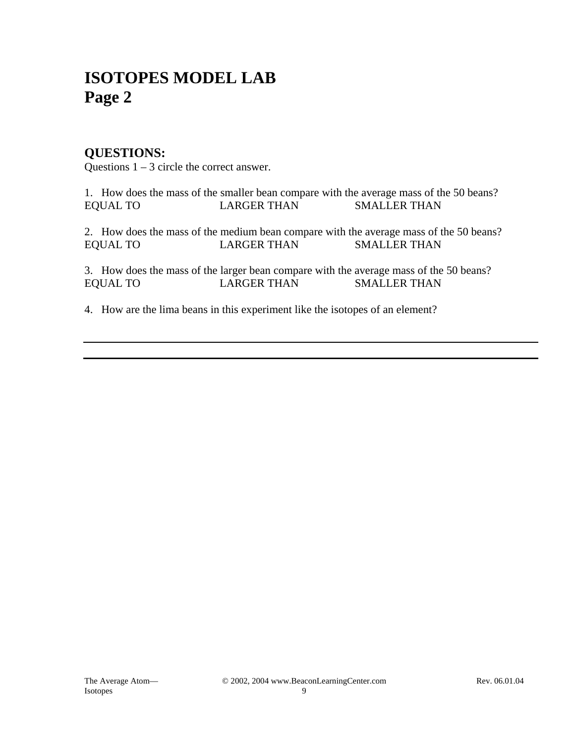## **ISOTOPES MODEL LAB Page 2**

## **QUESTIONS:**

Questions  $1 - 3$  circle the correct answer.

1. How does the mass of the smaller bean compare with the average mass of the 50 beans? EQUAL TO LARGER THAN SMALLER THAN

2. How does the mass of the medium bean compare with the average mass of the 50 beans? EQUAL TO LARGER THAN SMALLER THAN

3. How does the mass of the larger bean compare with the average mass of the 50 beans? EQUAL TO LARGER THAN SMALLER THAN

4. How are the lima beans in this experiment like the isotopes of an element?